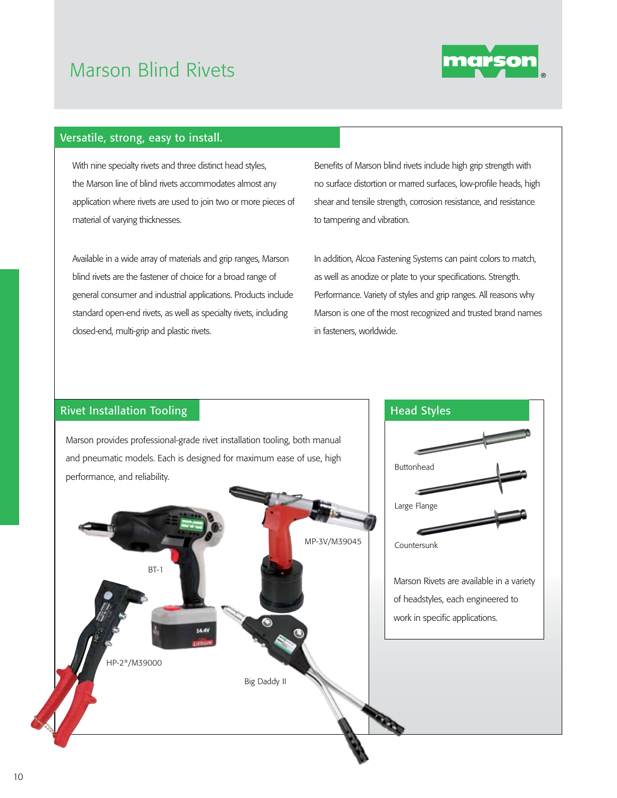## Marson Blind Rivets



## Versatile, strong, easy to install.

With nine specialty rivets and three distinct head styles, the Marson line of blind rivets accommodates almost any application where rivets are used to join two or more pieces of material of varying thicknesses.

Available in a wide array of materials and grip ranges, Marson blind rivets are the fastener of choice for a broad range of general consumer and industrial applications. Products include standard open-end rivets, as well as specialty rivets, including closed-end, multi-grip and plastic rivets.

Benefits of Marson blind rivets include high grip strength with no surface distortion or marred surfaces, low-profile heads, high shear and tensile strength, corrosion resistance, and resistance to tampering and vibration.

In addition, Alcoa Fastening Systems can paint colors to match, as well as anodize or plate to your specifications. Strength. Performance. Variety of styles and grip ranges. All reasons why Marson is one of the most recognized and trusted brand names in fasteners, worldwide.

## Rivet Installation Tooling Head Styles

Marson provides professional-grade rivet installation tooling, both manual and pneumatic models. Each is designed for maximum ease of use, high performance, and reliability.